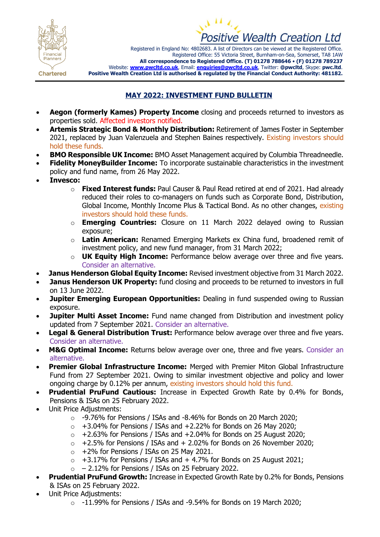



Registered in England No: 4802683. A list of Directors can be viewed at the Registered Office. Registered Office: 55 Victoria Street, Burnham-on-Sea, Somerset, TA8 1AW **All correspondence to Registered Office. (T) 01278 788646** • **(F) 01278 789237** Website: **[www.pwcltd.co.uk](http://www.pwcltd.co.uk/)**, Email: **[enquiries@pwcltd.co.uk](mailto:enquiries@pwcltd.co.uk)**, Twitter: **@pwcltd**, Skype: **pwc.ltd**. **Positive Wealth Creation Ltd is authorised & regulated by the Financial Conduct Authority: 481182.**

**Chartered** 

## **MAY 2022: INVESTMENT FUND BULLETIN**

- **Aegon (formerly Kames) Property Income** closing and proceeds returned to investors as properties sold. Affected investors notified.
- **Artemis Strategic Bond & Monthly Distribution:** Retirement of James Foster in September 2021, replaced by Juan Valenzuela and Stephen Baines respectively. Existing investors should hold these funds.
- **BMO Responsible UK Income:** BMO Asset Management acquired by Columbia Threadneedle.
- **Fidelity MoneyBuilder Income:** To incorporate sustainable characteristics in the investment policy and fund name, from 26 May 2022.
- **Invesco:**
	- o **Fixed Interest funds:** Paul Causer & Paul Read retired at end of 2021. Had already reduced their roles to co-managers on funds such as Corporate Bond, Distribution, Global Income, Monthly Income Plus & Tactical Bond. As no other changes, existing investors should hold these funds.
	- o **Emerging Countries:** Closure on 11 March 2022 delayed owing to Russian exposure;
	- o **Latin American:** Renamed Emerging Markets ex China fund, broadened remit of investment policy, and new fund manager, from 31 March 2022;
	- o **UK Equity High Income:** Performance below average over three and five years. Consider an alternative.
- **Janus Henderson Global Equity Income:** Revised investment objective from 31 March 2022.
- **Janus Henderson UK Property:** fund closing and proceeds to be returned to investors in full on 13 June 2022.
- **Jupiter Emerging European Opportunities:** Dealing in fund suspended owing to Russian exposure.
- **Jupiter Multi Asset Income:** Fund name changed from Distribution and investment policy updated from 7 September 2021. Consider an alternative.
- **Legal & General Distribution Trust:** Performance below average over three and five years. Consider an alternative.
- **M&G Optimal Income:** Returns below average over one, three and five years. Consider an alternative.
- **Premier Global Infrastructure Income:** Merged with Premier Miton Global Infrastructure Fund from 27 September 2021. Owing to similar investment objective and policy and lower ongoing charge by 0.12% per annum, existing investors should hold this fund.
- **Prudential PruFund Cautious:** Increase in Expected Growth Rate by 0.4% for Bonds, Pensions & ISAs on 25 February 2022.
- Unit Price Adjustments:
	- $\circ$  -9.76% for Pensions / ISAs and -8.46% for Bonds on 20 March 2020;
	- $\circ$  +3.04% for Pensions / ISAs and +2.22% for Bonds on 26 May 2020;
	- $\circ$  +2.63% for Pensions / ISAs and +2.04% for Bonds on 25 August 2020;
	- $\circ$  +2.5% for Pensions / ISAs and + 2.02% for Bonds on 26 November 2020;
	- $\circ$  +2% for Pensions / ISAs on 25 May 2021.
	- $\circ$  +3.17% for Pensions / ISAs and + 4.7% for Bonds on 25 August 2021;
	- $\circ$  2.12% for Pensions / ISAs on 25 February 2022.
- **Prudential PruFund Growth:** Increase in Expected Growth Rate by 0.2% for Bonds, Pensions & ISAs on 25 February 2022.
- Unit Price Adjustments:
	- $\circ$  -11.99% for Pensions / ISAs and -9.54% for Bonds on 19 March 2020;